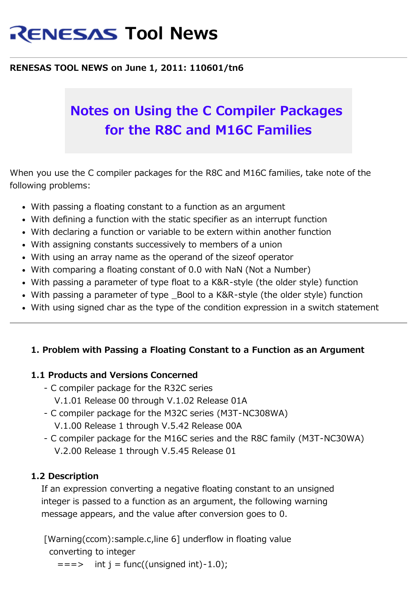# **RENESAS Tool News**

#### **RENESAS TOOL NEWS on June 1, 2011: 110601/tn6**

## **Notes on Using the C Compiler Packages for the R8C and M16C Families**

When you use the C compiler packages for the R8C and M16C families, take note of the following problems:

- With passing a floating constant to a function as an argument
- With defining a function with the static specifier as an interrupt function
- With declaring a function or variable to be extern within another function
- With assigning constants successively to members of a union
- With using an array name as the operand of the sizeof operator
- With comparing a floating constant of 0.0 with NaN (Not a Number)
- With passing a parameter of type float to a K&R-style (the older style) function
- With passing a parameter of type Bool to a K&R-style (the older style) function
- With using signed char as the type of the condition expression in a switch statement

## **1. Problem with Passing a Floating Constant to a Function as an Argument**

#### **1.1 Products and Versions Concerned**

- C compiler package for the R32C series V.1.01 Release 00 through V.1.02 Release 01A
- C compiler package for the M32C series (M3T-NC308WA) V.1.00 Release 1 through V.5.42 Release 00A
- C compiler package for the M16C series and the R8C family (M3T-NC30WA) V.2.00 Release 1 through V.5.45 Release 01

## **1.2 Description**

 If an expression converting a negative floating constant to an unsigned integer is passed to a function as an argument, the following warning message appears, and the value after conversion goes to 0.

 [Warning(ccom):sample.c,line 6] underflow in floating value converting to integer

 $\Rightarrow$  int  $i = \frac{\text{func}}{\text{trace}}$  (unsigned int)-1.0);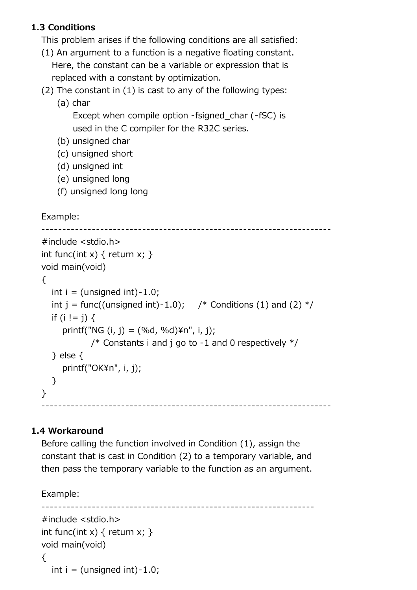## **1.3 Conditions**

This problem arises if the following conditions are all satisfied:

- (1) An argument to a function is a negative floating constant. Here, the constant can be a variable or expression that is replaced with a constant by optimization.
- (2) The constant in (1) is cast to any of the following types:
	- (a) char

 Except when compile option -fsigned\_char (-fSC) is used in the C compiler for the R32C series.

- (b) unsigned char
- (c) unsigned short
- (d) unsigned int
- (e) unsigned long
- (f) unsigned long long

Example:

```
 ---------------------------------------------------------------------
   #include <stdio.h>
  int func(int x) { return x; }
   void main(void)
   {
     int i = (unsigned int)-1.0;
     int j = func((unsigned int)-1.0); /* Conditions (1) and (2) */
     if (i != i) {
        printf("NG (i, j) = (% (j, j)) = (*d, %d)*n", (i, j);
                /* Constants i and j go to -1 and 0 respectively */ } else {
        printf("OK\n", i, j);
      }
   }
 ---------------------------------------------------------------------
```
## **1.4 Workaround**

 Before calling the function involved in Condition (1), assign the constant that is cast in Condition (2) to a temporary variable, and then pass the temporary variable to the function as an argument.

Example:

```
 -----------------------------------------------------------------
 #include <stdio.h>
int func(int x) { return x; }
 void main(void)
 {
  int i = (unsigned int)-1.0;
```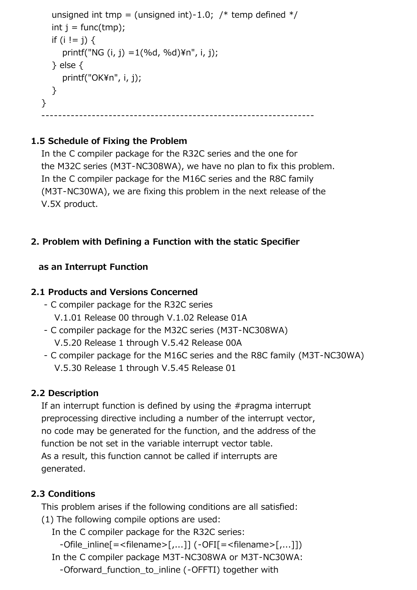```
unsigned int tmp = (unsigned int)-1.0; /* temp defined */int i = func(tmp);
     if (i != j) {
       printf("NG (i, j) = 1(%d, %d)\n", i, j);
      } else {
       printf("OK\n", i, j);
     }
   }
 -----------------------------------------------------------------
```
## **1.5 Schedule of Fixing the Problem**

 In the C compiler package for the R32C series and the one for the M32C series (M3T-NC308WA), we have no plan to fix this problem. In the C compiler package for the M16C series and the R8C family (M3T-NC30WA), we are fixing this problem in the next release of the V.5X product.

## **2. Problem with Defining a Function with the static Specifier**

## **as an Interrupt Function**

## **2.1 Products and Versions Concerned**

- C compiler package for the R32C series V.1.01 Release 00 through V.1.02 Release 01A
- C compiler package for the M32C series (M3T-NC308WA)
	- V.5.20 Release 1 through V.5.42 Release 00A
- C compiler package for the M16C series and the R8C family (M3T-NC30WA) V.5.30 Release 1 through V.5.45 Release 01

## **2.2 Description**

 If an interrupt function is defined by using the #pragma interrupt preprocessing directive including a number of the interrupt vector, no code may be generated for the function, and the address of the function be not set in the variable interrupt vector table. As a result, this function cannot be called if interrupts are generated.

## **2.3 Conditions**

This problem arises if the following conditions are all satisfied:

- (1) The following compile options are used:
	- In the C compiler package for the R32C series:
		- $-$ Ofile inline $[=$ <filename> $[$ ,...]]  $(-$ OFI $[=$ <filename> $[$ ,...]])
	- In the C compiler package M3T-NC308WA or M3T-NC30WA:
		- -Oforward function to inline (-OFFTI) together with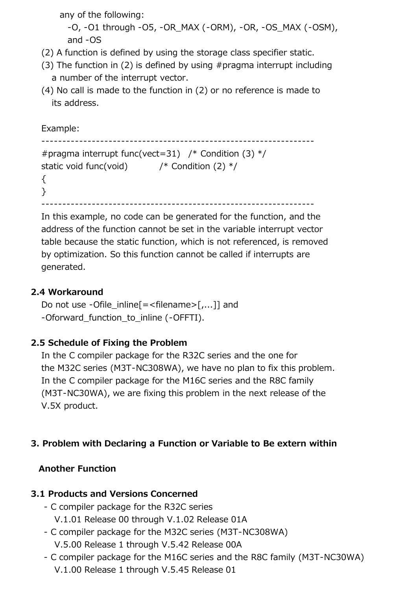any of the following:

 -O, -O1 through -O5, -OR\_MAX (-ORM), -OR, -OS\_MAX (-OSM), and -OS

- (2) A function is defined by using the storage class specifier static.
- (3) The function in (2) is defined by using #pragma interrupt including a number of the interrupt vector.
- (4) No call is made to the function in (2) or no reference is made to its address.

Example:

```
 -----------------------------------------------------------------
  # pragma interrupt func(vect=31) /* Condition (3) */static void func(void) \frac{1}{2} /* Condition (2) \frac{1}{2} {
   }
 -----------------------------------------------------------------
```
 In this example, no code can be generated for the function, and the address of the function cannot be set in the variable interrupt vector table because the static function, which is not referenced, is removed by optimization. So this function cannot be called if interrupts are generated.

## **2.4 Workaround**

Do not use -Ofile inline $[=$  -filename > $[$ ....]] and -Oforward function to inline (-OFFTI).

## **2.5 Schedule of Fixing the Problem**

 In the C compiler package for the R32C series and the one for the M32C series (M3T-NC308WA), we have no plan to fix this problem. In the C compiler package for the M16C series and the R8C family (M3T-NC30WA), we are fixing this problem in the next release of the V.5X product.

## **3. Problem with Declaring a Function or Variable to Be extern within**

## **Another Function**

## **3.1 Products and Versions Concerned**

- C compiler package for the R32C series V.1.01 Release 00 through V.1.02 Release 01A
- C compiler package for the M32C series (M3T-NC308WA) V.5.00 Release 1 through V.5.42 Release 00A
- C compiler package for the M16C series and the R8C family (M3T-NC30WA) V.1.00 Release 1 through V.5.45 Release 01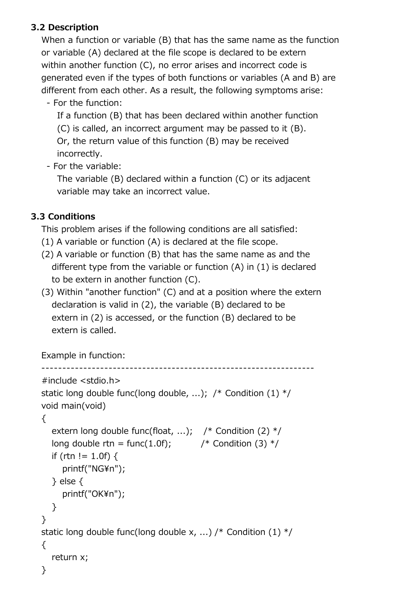## **3.2 Description**

 When a function or variable (B) that has the same name as the function or variable (A) declared at the file scope is declared to be extern within another function (C), no error arises and incorrect code is generated even if the types of both functions or variables (A and B) are different from each other. As a result, the following symptoms arise:

- For the function:

If a function (B) that has been declared within another function

(C) is called, an incorrect argument may be passed to it (B).

 Or, the return value of this function (B) may be received incorrectly.

- For the variable:

 The variable (B) declared within a function (C) or its adjacent variable may take an incorrect value.

## **3.3 Conditions**

This problem arises if the following conditions are all satisfied:

- (1) A variable or function (A) is declared at the file scope.
- (2) A variable or function (B) that has the same name as and the different type from the variable or function (A) in (1) is declared to be extern in another function (C).
- (3) Within "another function" (C) and at a position where the extern declaration is valid in (2), the variable (B) declared to be extern in (2) is accessed, or the function (B) declared to be extern is called.

```
 Example in function:
```

```
 -----------------------------------------------------------------
 #include <stdio.h>
static long double func(long double, ...); \frac{1}{2} Condition (1) \frac{1}{2} void main(void)
{
  extern long double func(float, ...); /* Condition (2) */
   long double rtn = func(1.0f); \frac{1}{2} /* Condition (3) */
   if (rtn != 1.0f) {
      printf("NG\n");
    } else {
      printf("OK\n");
    }
 }
static long double func(long double x, ...) /* Condition (1) */ {
    return x;
 }
```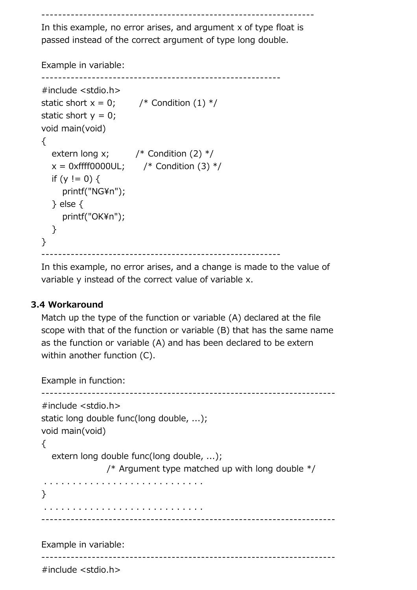-----------------------------------------------------------------

 In this example, no error arises, and argument x of type float is passed instead of the correct argument of type long double.

Example in variable:

```
 ---------------------------------------------------------
 #include <stdio.h>
static short x = 0; /* Condition (1) */
static short y = 0;
 void main(void)
{
  extern long x; \frac{1}{x} Condition (2) */
  x = 0xffff0000UL; /* Condition (3) */
  if (y := 0) {
     printf("NG\n");
   } else {
     printf("OK\n");
   }
 }
              ---------------------------------------------------------
```
 In this example, no error arises, and a change is made to the value of variable y instead of the correct value of variable x.

#### **3.4 Workaround**

 Match up the type of the function or variable (A) declared at the file scope with that of the function or variable (B) that has the same name as the function or variable (A) and has been declared to be extern within another function (C).

```
 Example in function:
   ----------------------------------------------------------------------
   #include <stdio.h>
   static long double func(long double, ...);
   void main(void)
   {
      extern long double func(long double, ...); 
                    /* Argument type matched up with long double */ . . . . . . . . . . . . . . . . . . . . . . . . . . . .
   }
    . . . . . . . . . . . . . . . . . . . . . . . . . . . .
 ----------------------------------------------------------------------
   Example in variable:
                            ----------------------------------------------------------------------
   #include <stdio.h>
```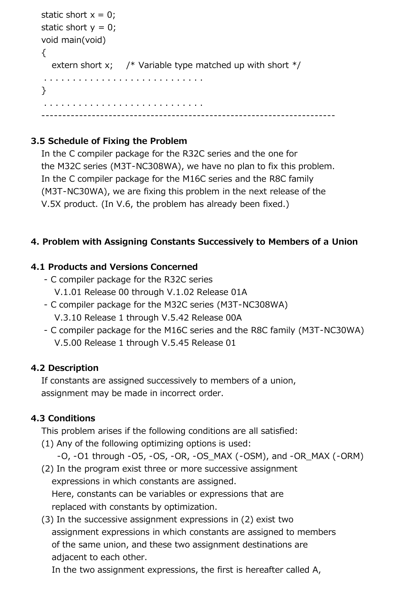```
static short x = 0;
  static short y = 0;
   void main(void)
   {
     extern short x; \frac{1}{2} Variable type matched up with short \frac{1}{2} . . . . . . . . . . . . . . . . . . . . . . . . . . . .
   }
    . . . . . . . . . . . . . . . . . . . . . . . . . . . .
 ----------------------------------------------------------------------
```
## **3.5 Schedule of Fixing the Problem**

 In the C compiler package for the R32C series and the one for the M32C series (M3T-NC308WA), we have no plan to fix this problem. In the C compiler package for the M16C series and the R8C family (M3T-NC30WA), we are fixing this problem in the next release of the V.5X product. (In V.6, the problem has already been fixed.)

## **4. Problem with Assigning Constants Successively to Members of a Union**

## **4.1 Products and Versions Concerned**

- C compiler package for the R32C series V.1.01 Release 00 through V.1.02 Release 01A
- C compiler package for the M32C series (M3T-NC308WA) V.3.10 Release 1 through V.5.42 Release 00A
- C compiler package for the M16C series and the R8C family (M3T-NC30WA) V.5.00 Release 1 through V.5.45 Release 01

## **4.2 Description**

 If constants are assigned successively to members of a union, assignment may be made in incorrect order.

## **4.3 Conditions**

This problem arises if the following conditions are all satisfied:

- (1) Any of the following optimizing options is used:
	- $-0$ ,  $-01$  through  $-05$ ,  $-05$ ,  $-08$ ,  $-05$  MAX ( $-05$ M), and  $-0R$  MAX ( $-0RM$ )
- (2) In the program exist three or more successive assignment expressions in which constants are assigned. Here, constants can be variables or expressions that are replaced with constants by optimization.
- (3) In the successive assignment expressions in (2) exist two assignment expressions in which constants are assigned to members of the same union, and these two assignment destinations are adjacent to each other.

In the two assignment expressions, the first is hereafter called A,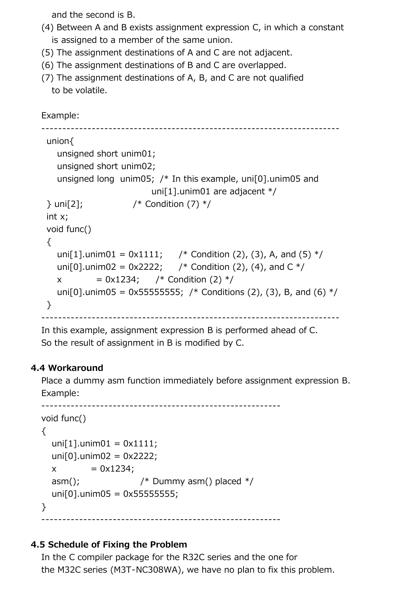and the second is B.

- (4) Between A and B exists assignment expression C, in which a constant is assigned to a member of the same union.
- (5) The assignment destinations of A and C are not adjacent.
- (6) The assignment destinations of B and C are overlapped.
- (7) The assignment destinations of A, B, and C are not qualified to be volatile.

```
 Example:
```

```
 -----------------------------------------------------------------------
 union{
   unsigned short unim01;
   unsigned short unim02;
  unsigned long unim05; /* In this example, uni[0].unim05 and
                         uni[1].unim01 are adjacent */
\} uni[2]; / Condition (7) */ int x;
 void func()
\{uni[1].unim01 = 0x1111; /* Condition (2), (3), A, and (5) */
  uni[0].unim02 = 0x2222; /* Condition (2), (4), and C */x = 0x1234; /* Condition (2) */
  uni[0].unim05 = 0x555555555; /* Conditions (2), (3), B, and (6) */ }
     -----------------------------------------------------------------------
```
 In this example, assignment expression B is performed ahead of C. So the result of assignment in B is modified by C.

## **4.4 Workaround**

 Place a dummy asm function immediately before assignment expression B. Example:

```
 ---------------------------------------------------------
 void func()
\{unif[1].unim[1] = 0 \times 1111;unif 01.unim02 = 0x2222;
  x = 0x1234;
  asm(); \frac{1}{2} /* Dummy asm() placed \frac{1}{2}unif 0].unim05 = 0 \times 555555555;
 }
      ---------------------------------------------------------
```
## **4.5 Schedule of Fixing the Problem**

 In the C compiler package for the R32C series and the one for the M32C series (M3T-NC308WA), we have no plan to fix this problem.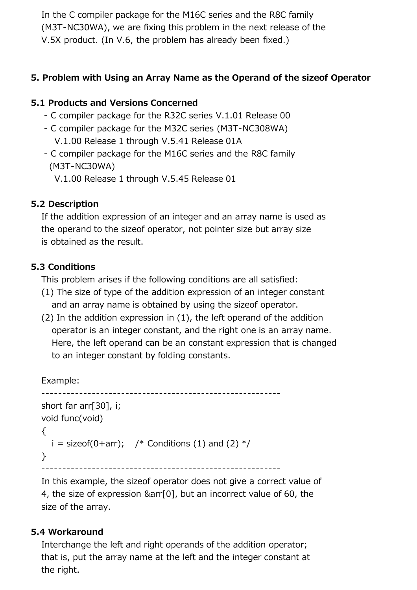In the C compiler package for the M16C series and the R8C family (M3T-NC30WA), we are fixing this problem in the next release of the V.5X product. (In V.6, the problem has already been fixed.)

#### **5. Problem with Using an Array Name as the Operand of the sizeof Operator**

## **5.1 Products and Versions Concerned**

- C compiler package for the R32C series V.1.01 Release 00
- C compiler package for the M32C series (M3T-NC308WA) V.1.00 Release 1 through V.5.41 Release 01A
- C compiler package for the M16C series and the R8C family (M3T-NC30WA)
	- V.1.00 Release 1 through V.5.45 Release 01

#### **5.2 Description**

 If the addition expression of an integer and an array name is used as the operand to the sizeof operator, not pointer size but array size is obtained as the result.

#### **5.3 Conditions**

This problem arises if the following conditions are all satisfied:

- (1) The size of type of the addition expression of an integer constant and an array name is obtained by using the sizeof operator.
- (2) In the addition expression in (1), the left operand of the addition operator is an integer constant, and the right one is an array name. Here, the left operand can be an constant expression that is changed to an integer constant by folding constants.

Example:

```
 ---------------------------------------------------------
 short far arr[30], i;
 void func(void)
 {
  i = sizeof(0+arr); \frac{1}{2} Conditions (1) and (2) \frac{1}{2} }
```
---------------------------------------------------------

 In this example, the sizeof operator does not give a correct value of 4, the size of expression &arr[0], but an incorrect value of 60, the size of the array.

#### **5.4 Workaround**

 Interchange the left and right operands of the addition operator; that is, put the array name at the left and the integer constant at the right.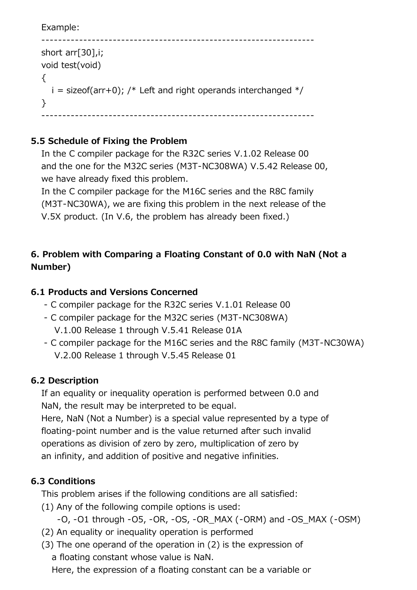```
 Example:
```

```
 -----------------------------------------------------------------
   short arr[30],i;
   void test(void)
  \{i = sizeof(arr+0); /* Left and right operands interchanged */ }
                           -----------------------------------------------------------------
```
## **5.5 Schedule of Fixing the Problem**

 In the C compiler package for the R32C series V.1.02 Release 00 and the one for the M32C series (M3T-NC308WA) V.5.42 Release 00, we have already fixed this problem.

 In the C compiler package for the M16C series and the R8C family (M3T-NC30WA), we are fixing this problem in the next release of the V.5X product. (In V.6, the problem has already been fixed.)

## **6. Problem with Comparing a Floating Constant of 0.0 with NaN (Not a Number)**

## **6.1 Products and Versions Concerned**

- C compiler package for the R32C series V.1.01 Release 00
- C compiler package for the M32C series (M3T-NC308WA) V.1.00 Release 1 through V.5.41 Release 01A
- C compiler package for the M16C series and the R8C family (M3T-NC30WA) V.2.00 Release 1 through V.5.45 Release 01

## **6.2 Description**

 If an equality or inequality operation is performed between 0.0 and NaN, the result may be interpreted to be equal.

 Here, NaN (Not a Number) is a special value represented by a type of floating-point number and is the value returned after such invalid operations as division of zero by zero, multiplication of zero by an infinity, and addition of positive and negative infinities.

## **6.3 Conditions**

This problem arises if the following conditions are all satisfied:

(1) Any of the following compile options is used:

```
-0, -01 through -05, -OR, -OS, -OR MAX (-ORM) and -OS MAX (-OSM)
```
- (2) An equality or inequality operation is performed
- (3) The one operand of the operation in (2) is the expression of a floating constant whose value is NaN.

Here, the expression of a floating constant can be a variable or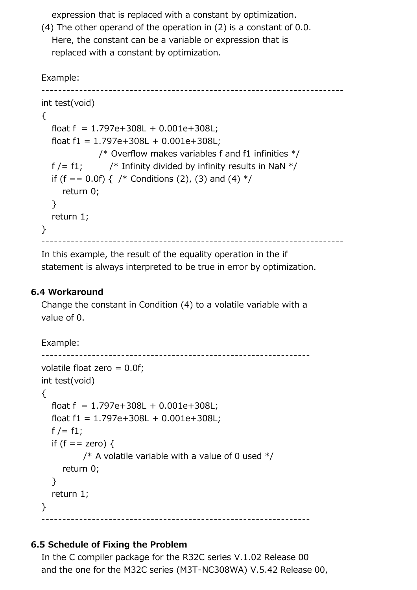expression that is replaced with a constant by optimization.

 (4) The other operand of the operation in (2) is a constant of 0.0. Here, the constant can be a variable or expression that is replaced with a constant by optimization.

Example:

```
 ------------------------------------------------------------------------
   int test(void)
   {
     float f = 1.797e + 308L + 0.001e + 308L;
     float f1 = 1.797e + 308L + 0.001e + 308L;
                  \frac{1}{2} Overflow makes variables f and f1 infinities \frac{1}{2}f / = f1; \frac{1}{2} /* Infinity divided by infinity results in NaN \frac{1}{2}/
     if (f == 0.0f) { /* Conditions (2), (3) and (4) */ return 0;
      }
      return 1;
   }
               ------------------------------------------------------------------------
```
 In this example, the result of the equality operation in the if statement is always interpreted to be true in error by optimization.

#### **6.4 Workaround**

 Change the constant in Condition (4) to a volatile variable with a value of 0.

Example:

```
 ----------------------------------------------------------------
 volatile float zero = 0.0f;
 int test(void)
 {
   float f = 1.797e + 308L + 0.001e + 308L;
   float f1 = 1.797e + 308L + 0.001e + 308L;
   f /= f1;
   if (f == zero) {
             \frac{1}{2} A volatile variable with a value of 0 used \frac{1}{2} return 0;
    }
    return 1;
 }
       ----------------------------------------------------------------
```
#### **6.5 Schedule of Fixing the Problem**

 In the C compiler package for the R32C series V.1.02 Release 00 and the one for the M32C series (M3T-NC308WA) V.5.42 Release 00,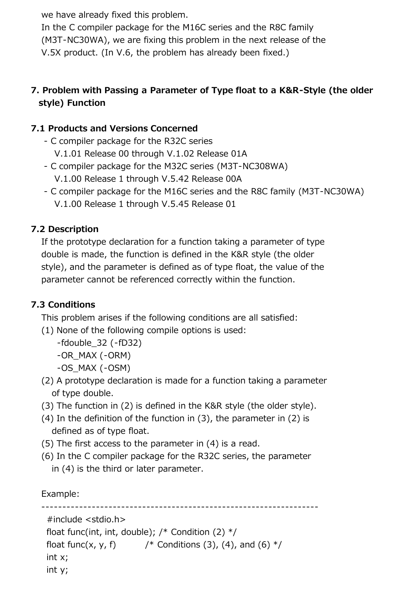we have already fixed this problem.

 In the C compiler package for the M16C series and the R8C family (M3T-NC30WA), we are fixing this problem in the next release of the V.5X product. (In V.6, the problem has already been fixed.)

## **7. Problem with Passing a Parameter of Type float to a K&R-Style (the older style) Function**

## **7.1 Products and Versions Concerned**

- C compiler package for the R32C series V.1.01 Release 00 through V.1.02 Release 01A
- C compiler package for the M32C series (M3T-NC308WA) V.1.00 Release 1 through V.5.42 Release 00A
- C compiler package for the M16C series and the R8C family (M3T-NC30WA) V.1.00 Release 1 through V.5.45 Release 01

## **7.2 Description**

 If the prototype declaration for a function taking a parameter of type double is made, the function is defined in the K&R style (the older style), and the parameter is defined as of type float, the value of the parameter cannot be referenced correctly within the function.

## **7.3 Conditions**

This problem arises if the following conditions are all satisfied:

(1) None of the following compile options is used:

```
 -fdouble_32 (-fD32)
```
-OR\_MAX (-ORM)

- -OS\_MAX (-OSM)
- (2) A prototype declaration is made for a function taking a parameter of type double.
- (3) The function in (2) is defined in the K&R style (the older style).
- (4) In the definition of the function in (3), the parameter in (2) is defined as of type float.
- (5) The first access to the parameter in (4) is a read.
- (6) In the C compiler package for the R32C series, the parameter in (4) is the third or later parameter.

Example:

```
 ------------------------------------------------------------------
 #include <stdio.h>
float func(int, int, double); /* Condition (2) */float func(x, y, f) \frac{1}{2} /* Conditions (3), (4), and (6) \frac{1}{2} int x;
 int y;
```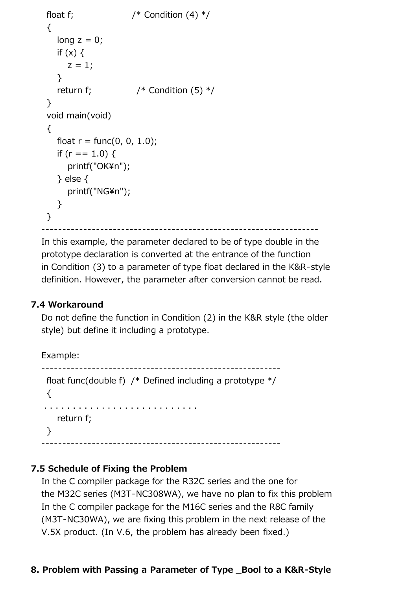```
float f; / /* Condition (4) */ {
   long z = 0;
   if (x) {
     z = 1;
    }
   return f; / Condition (5) */ }
 void main(void)
 {
   float r = \text{func}(0, 0, 1.0);
   if (r = 1.0) {
      printf("OK\n");
    } else {
      printf("NG¥n");
    }
 }
                                          ------------------------------------------------------------------
```
 In this example, the parameter declared to be of type double in the prototype declaration is converted at the entrance of the function in Condition (3) to a parameter of type float declared in the K&R-style definition. However, the parameter after conversion cannot be read.

#### **7.4 Workaround**

 Do not define the function in Condition (2) in the K&R style (the older style) but define it including a prototype.

```
 Example:
              ---------------------------------------------------------
  float func(double f) /* Defined including a prototype */
  {
 . . . . . . . . . . . . . . . . . . . . . . . . . . .
     return f;
  }
         ---------------------------------------------------------
```
#### **7.5 Schedule of Fixing the Problem**

 In the C compiler package for the R32C series and the one for the M32C series (M3T-NC308WA), we have no plan to fix this problem In the C compiler package for the M16C series and the R8C family (M3T-NC30WA), we are fixing this problem in the next release of the V.5X product. (In V.6, the problem has already been fixed.)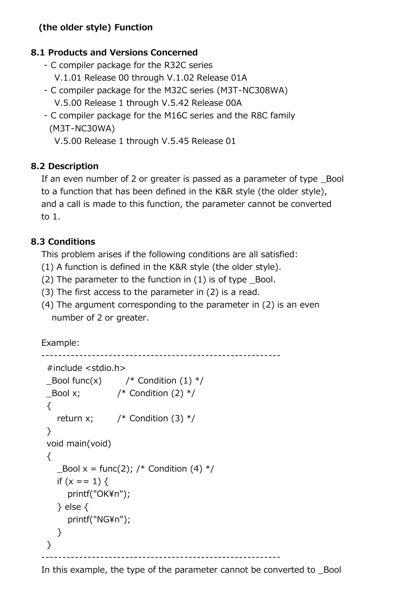## **(the older style) Function**

## **8.1 Products and Versions Concerned**

- C compiler package for the R32C series V.1.01 Release 00 through V.1.02 Release 01A
- C compiler package for the M32C series (M3T-NC308WA) V.5.00 Release 1 through V.5.42 Release 00A
- C compiler package for the M16C series and the R8C family (M3T-NC30WA)
	- V.5.00 Release 1 through V.5.45 Release 01

## **8.2 Description**

 If an even number of 2 or greater is passed as a parameter of type \_Bool to a function that has been defined in the K&R style (the older style), and a call is made to this function, the parameter cannot be converted to 1.

#### **8.3 Conditions**

This problem arises if the following conditions are all satisfied:

- (1) A function is defined in the K&R style (the older style).
- $(2)$  The parameter to the function in  $(1)$  is of type Bool.
- (3) The first access to the parameter in (2) is a read.
- (4) The argument corresponding to the parameter in (2) is an even number of 2 or greater.

Example:

```
 ---------------------------------------------------------
 #include <stdio.h>
\text{\_}Bool func(x) /* Condition (1) */
\text{Bool} x; \text{/*} Condition (2) \text{*/}\{return x; \frac{1}{2} /* Condition (3) */
 }
 void main(void)
 {
   Bool x = \text{func}(2); /* Condition (4) */
   if (x == 1) {
      printf("OK\n");
    } else {
      printf("NG\n");
    }
 }
                        ---------------------------------------------------------
```
In this example, the type of the parameter cannot be converted to \_Bool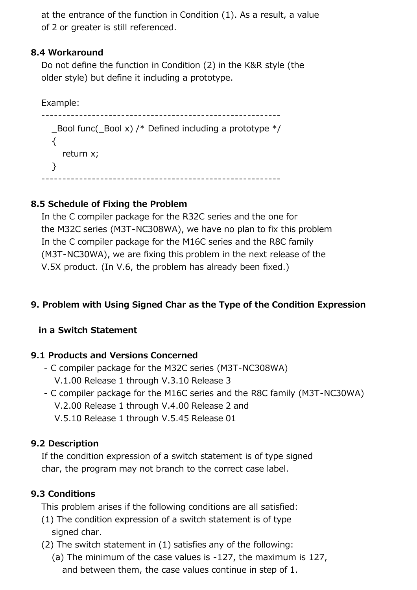at the entrance of the function in Condition (1). As a result, a value of 2 or greater is still referenced.

#### **8.4 Workaround**

 Do not define the function in Condition (2) in the K&R style (the older style) but define it including a prototype.

Example:

 --------------------------------------------------------- Bool func( Bool x) /\* Defined including a prototype  $*/$  $\{$  return x; } ---------------------------------------------------------

## **8.5 Schedule of Fixing the Problem**

 In the C compiler package for the R32C series and the one for the M32C series (M3T-NC308WA), we have no plan to fix this problem In the C compiler package for the M16C series and the R8C family (M3T-NC30WA), we are fixing this problem in the next release of the V.5X product. (In V.6, the problem has already been fixed.)

## **9. Problem with Using Signed Char as the Type of the Condition Expression**

#### **in a Switch Statement**

#### **9.1 Products and Versions Concerned**

- C compiler package for the M32C series (M3T-NC308WA) V.1.00 Release 1 through V.3.10 Release 3
- C compiler package for the M16C series and the R8C family (M3T-NC30WA) V.2.00 Release 1 through V.4.00 Release 2 and
	- V.5.10 Release 1 through V.5.45 Release 01

#### **9.2 Description**

 If the condition expression of a switch statement is of type signed char, the program may not branch to the correct case label.

#### **9.3 Conditions**

This problem arises if the following conditions are all satisfied:

- (1) The condition expression of a switch statement is of type signed char.
- (2) The switch statement in (1) satisfies any of the following:
	- (a) The minimum of the case values is -127, the maximum is 127, and between them, the case values continue in step of 1.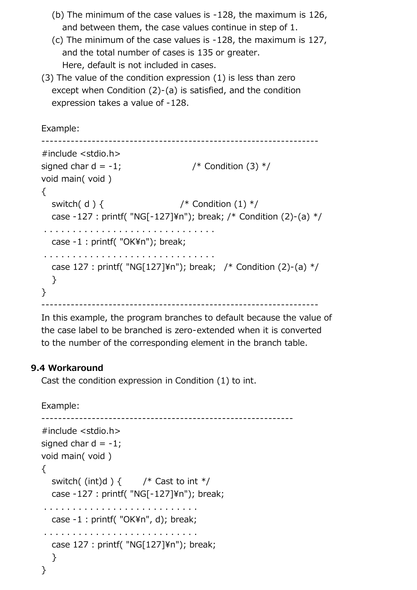- (b) The minimum of the case values is -128, the maximum is 126, and between them, the case values continue in step of 1.
- (c) The minimum of the case values is -128, the maximum is 127, and the total number of cases is 135 or greater. Here, default is not included in cases.
- (3) The value of the condition expression (1) is less than zero except when Condition (2)-(a) is satisfied, and the condition expression takes a value of -128.

Example:

```
 ------------------------------------------------------------------
 #include <stdio.h>
signed char d = -1; \frac{1}{2} /* Condition (3) \frac{1}{2} void main( void )
 {
  switch(d) { /* Condition (1) */
  case -127 : printf( "NG[-127]\*n"); break; /* Condition (2)-(a) */
 . . . . . . . . . . . . . . . . . . . . . . . . . . . . . .
  case -1 : printf( "OK\n"); break;
 . . . . . . . . . . . . . . . . . . . . . . . . . . . . . .
  case 127 : printf( "NG[127]\m"); break; /* Condition (2)-(a) */ }
 }
    ------------------------------------------------------------------
```
 In this example, the program branches to default because the value of the case label to be branched is zero-extended when it is converted to the number of the corresponding element in the branch table.

#### **9.4 Workaround**

Cast the condition expression in Condition (1) to int.

Example:

```
 ------------------------------------------------------------
 #include <stdio.h>
signed char d = -1;
 void main( void )
 {
  switch((int)d) { /* Cast to int */
   case -127: printf( "NG[-127]\*n"); break;
  . . . . . . . . . . . . . . . . . . . . . . . . . . .
  case -1 : printf( "OK\n", d); break;
  . . . . . . . . . . . . . . . . . . . . . . . . . . .
  case 127: printf( "NG[127]\n*n"); break;
    }
 }
```